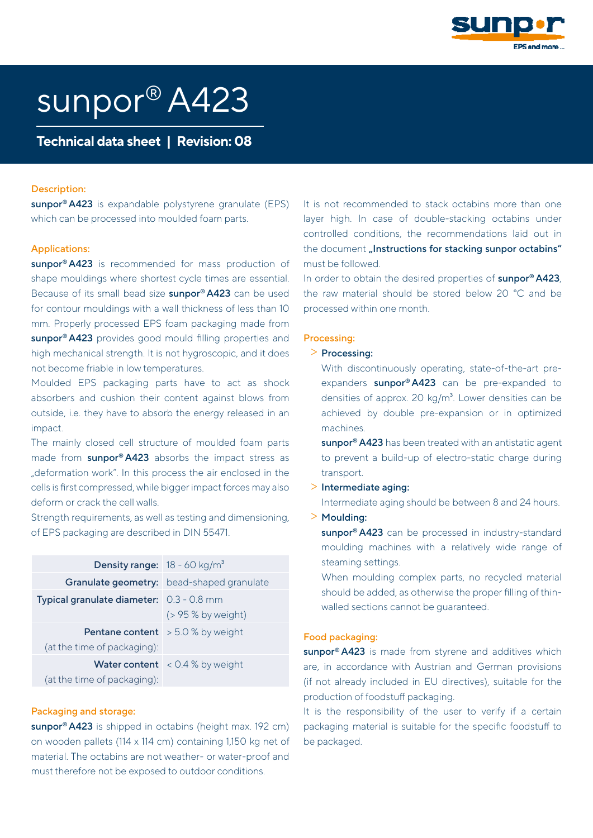

# sunpor® A423

Technical data sheet | Revision: 08

#### Description:

sunpor<sup>®</sup> A423 is expandable polystyrene granulate (EPS) which can be processed into moulded foam parts.

#### Applications:

sunpor<sup>®</sup> A423 is recommended for mass production of shape mouldings where shortest cycle times are essential. Because of its small bead size **sunpor<sup>®</sup> A423** can be used for contour mouldings with a wall thickness of less than 10 mm. Properly processed EPS foam packaging made from sunpor<sup>®</sup> A423 provides good mould filling properties and high mechanical strength. It is not hygroscopic, and it does not become friable in low temperatures.

Moulded EPS packaging parts have to act as shock absorbers and cushion their content against blows from outside, i.e. they have to absorb the energy released in an impact.

The mainly closed cell structure of moulded foam parts made from sunpor® A423 absorbs the impact stress as "deformation work". In this process the air enclosed in the cells is first compressed, while bigger impact forces may also deform or crack the cell walls.

Strength requirements, as well as testing and dimensioning, of EPS packaging are described in DIN 55471.

| <b>Density range:</b> $18 - 60$ kg/m <sup>3</sup> |                                               |
|---------------------------------------------------|-----------------------------------------------|
|                                                   | Granulate geometry: bead-shaped granulate     |
| <b>Typical granulate diameter:</b> 0.3 - 0.8 mm   |                                               |
|                                                   | $($ > 95 % by weight)                         |
|                                                   | <b>Pentane content</b> $\geq 5.0$ % by weight |
| (at the time of packaging):                       |                                               |
|                                                   | <b>Water content</b> $\leq 0.4\%$ by weight   |
| (at the time of packaging):                       |                                               |

#### Packaging and storage:

sunpor<sup>®</sup> A423 is shipped in octabins (height max. 192 cm) on wooden pallets (114 x 114 cm) containing 1,150 kg net of material. The octabins are not weather- or water-proof and must therefore not be exposed to outdoor conditions.

It is not recommended to stack octabins more than one layer high. In case of double-stacking octabins under controlled conditions, the recommendations laid out in the document "Instructions for stacking sunpor octabins" must be followed.

In order to obtain the desired properties of sunpor® A423, the raw material should be stored below 20 °C and be processed within one month.

## Processing:

## > Processing:

With discontinuously operating, state-of-the-art preexpanders sunpor® A423 can be pre-expanded to densities of approx. 20 kg/m<sup>3</sup>. Lower densities can be achieved by double pre-expansion or in optimized machines.

sunpor<sup>®</sup> A423 has been treated with an antistatic agent to prevent a build-up of electro-static charge during transport.

> Intermediate aging:

Intermediate aging should be between 8 and 24 hours. > Moulding:

sunpor® A423 can be processed in industry-standard moulding machines with a relatively wide range of steaming settings.

When moulding complex parts, no recycled material should be added, as otherwise the proper filling of thinwalled sections cannot be guaranteed.

### Food packaging:

sunpor<sup>®</sup> A423 is made from styrene and additives which are, in accordance with Austrian and German provisions (if not already included in EU directives), suitable for the production of foodstuff packaging.

It is the responsibility of the user to verify if a certain packaging material is suitable for the specific foodstuff to be packaged.